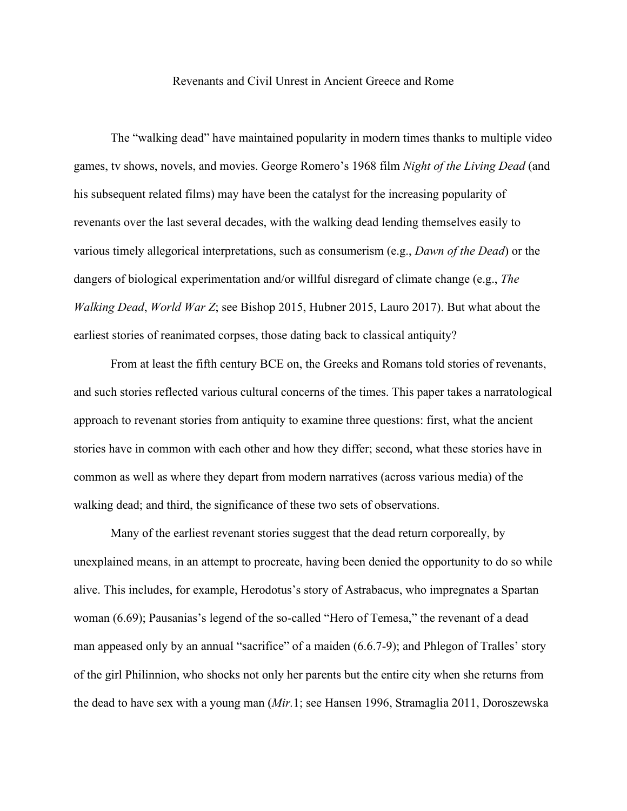## Revenants and Civil Unrest in Ancient Greece and Rome

The "walking dead" have maintained popularity in modern times thanks to multiple video games, tv shows, novels, and movies. George Romero's 1968 film *Night of the Living Dead* (and his subsequent related films) may have been the catalyst for the increasing popularity of revenants over the last several decades, with the walking dead lending themselves easily to various timely allegorical interpretations, such as consumerism (e.g., *Dawn of the Dead*) or the dangers of biological experimentation and/or willful disregard of climate change (e.g., *The Walking Dead*, *World War Z*; see Bishop 2015, Hubner 2015, Lauro 2017). But what about the earliest stories of reanimated corpses, those dating back to classical antiquity?

From at least the fifth century BCE on, the Greeks and Romans told stories of revenants, and such stories reflected various cultural concerns of the times. This paper takes a narratological approach to revenant stories from antiquity to examine three questions: first, what the ancient stories have in common with each other and how they differ; second, what these stories have in common as well as where they depart from modern narratives (across various media) of the walking dead; and third, the significance of these two sets of observations.

Many of the earliest revenant stories suggest that the dead return corporeally, by unexplained means, in an attempt to procreate, having been denied the opportunity to do so while alive. This includes, for example, Herodotus's story of Astrabacus, who impregnates a Spartan woman (6.69); Pausanias's legend of the so-called "Hero of Temesa," the revenant of a dead man appeased only by an annual "sacrifice" of a maiden (6.6.7-9); and Phlegon of Tralles' story of the girl Philinnion, who shocks not only her parents but the entire city when she returns from the dead to have sex with a young man (*Mir.*1; see Hansen 1996, Stramaglia 2011, Doroszewska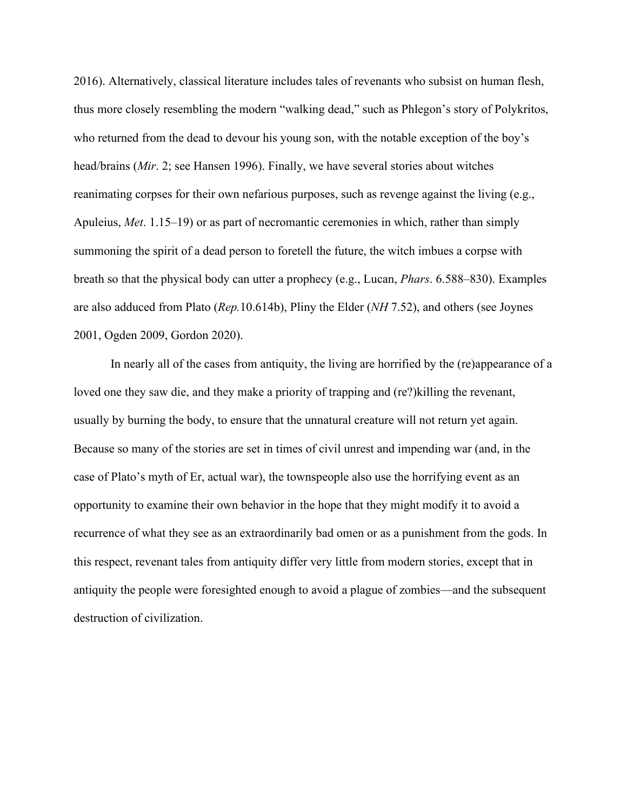2016). Alternatively, classical literature includes tales of revenants who subsist on human flesh, thus more closely resembling the modern "walking dead," such as Phlegon's story of Polykritos, who returned from the dead to devour his young son, with the notable exception of the boy's head/brains (*Mir*. 2; see Hansen 1996). Finally, we have several stories about witches reanimating corpses for their own nefarious purposes, such as revenge against the living (e.g., Apuleius, *Met*. 1.15–19) or as part of necromantic ceremonies in which, rather than simply summoning the spirit of a dead person to foretell the future, the witch imbues a corpse with breath so that the physical body can utter a prophecy (e.g., Lucan, *Phars*. 6.588–830). Examples are also adduced from Plato (*Rep.*10.614b), Pliny the Elder (*NH* 7.52), and others (see Joynes 2001, Ogden 2009, Gordon 2020).

In nearly all of the cases from antiquity, the living are horrified by the (re)appearance of a loved one they saw die, and they make a priority of trapping and (re?)killing the revenant, usually by burning the body, to ensure that the unnatural creature will not return yet again. Because so many of the stories are set in times of civil unrest and impending war (and, in the case of Plato's myth of Er, actual war), the townspeople also use the horrifying event as an opportunity to examine their own behavior in the hope that they might modify it to avoid a recurrence of what they see as an extraordinarily bad omen or as a punishment from the gods. In this respect, revenant tales from antiquity differ very little from modern stories, except that in antiquity the people were foresighted enough to avoid a plague of zombies—and the subsequent destruction of civilization.